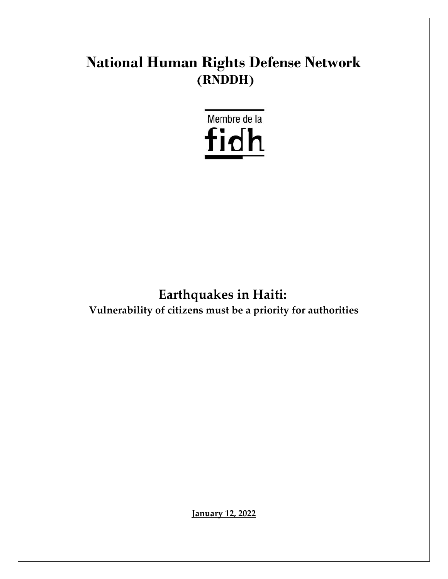# **National Human Rights Defense Network (RNDDH)**



# **Earthquakes in Haiti:**

**Vulnerability of citizens must be a priority for authorities**

**January 12, 2022**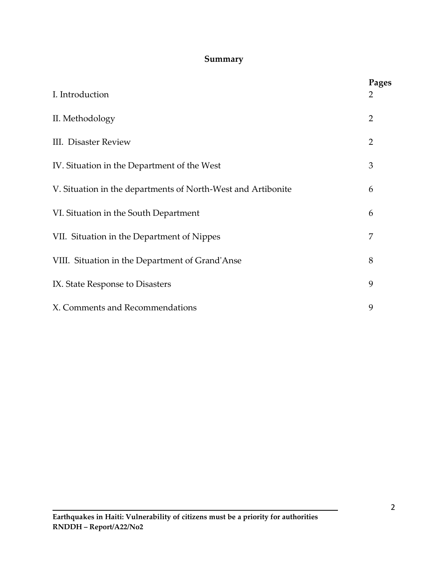#### **Summary**

| I. Introduction                                              | Pages<br>2     |
|--------------------------------------------------------------|----------------|
| II. Methodology                                              | $\overline{2}$ |
| <b>III.</b> Disaster Review                                  | $\overline{2}$ |
| IV. Situation in the Department of the West                  | 3              |
| V. Situation in the departments of North-West and Artibonite | 6              |
| VI. Situation in the South Department                        | 6              |
| VII. Situation in the Department of Nippes                   | 7              |
| VIII. Situation in the Department of Grand'Anse              | 8              |
| IX. State Response to Disasters                              | 9              |
| X. Comments and Recommendations                              | 9              |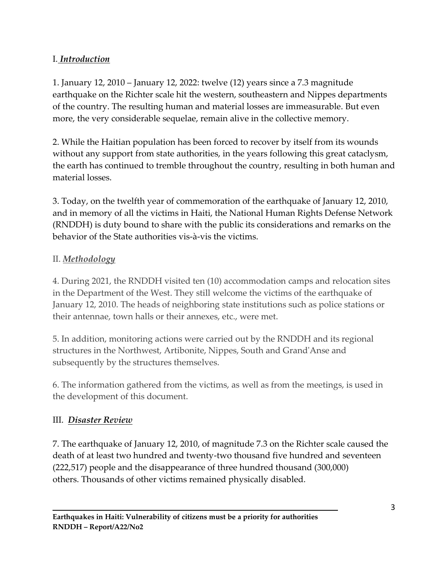# I. *Introduction*

1. January 12, 2010 – January 12, 2022: twelve (12) years since a 7.3 magnitude earthquake on the Richter scale hit the western, southeastern and Nippes departments of the country. The resulting human and material losses are immeasurable. But even more, the very considerable sequelae, remain alive in the collective memory.

2. While the Haitian population has been forced to recover by itself from its wounds without any support from state authorities, in the years following this great cataclysm, the earth has continued to tremble throughout the country, resulting in both human and material losses.

3. Today, on the twelfth year of commemoration of the earthquake of January 12, 2010, and in memory of all the victims in Haiti, the National Human Rights Defense Network (RNDDH) is duty bound to share with the public its considerations and remarks on the behavior of the State authorities vis-à-vis the victims.

#### II. *Methodology*

4. During 2021, the RNDDH visited ten (10) accommodation camps and relocation sites in the Department of the West. They still welcome the victims of the earthquake of January 12, 2010. The heads of neighboring state institutions such as police stations or their antennae, town halls or their annexes, etc., were met.

5. In addition, monitoring actions were carried out by the RNDDH and its regional structures in the Northwest, Artibonite, Nippes, South and Grand'Anse and subsequently by the structures themselves.

6. The information gathered from the victims, as well as from the meetings, is used in the development of this document.

#### III. *Disaster Review*

7. The earthquake of January 12, 2010, of magnitude 7.3 on the Richter scale caused the death of at least two hundred and twenty-two thousand five hundred and seventeen (222,517) people and the disappearance of three hundred thousand (300,000) others. Thousands of other victims remained physically disabled.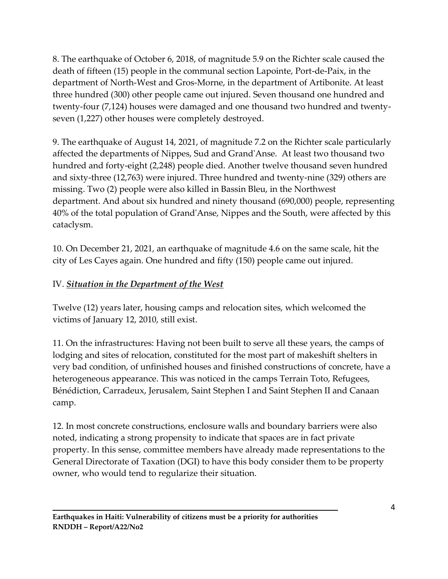8. The earthquake of October 6, 2018, of magnitude 5.9 on the Richter scale caused the death of fifteen (15) people in the communal section Lapointe, Port-de-Paix, in the department of North-West and Gros-Morne, in the department of Artibonite. At least three hundred (300) other people came out injured. Seven thousand one hundred and twenty-four (7,124) houses were damaged and one thousand two hundred and twentyseven (1,227) other houses were completely destroyed.

9. The earthquake of August 14, 2021, of magnitude 7.2 on the Richter scale particularly affected the departments of Nippes, Sud and Grand'Anse. At least two thousand two hundred and forty-eight (2,248) people died. Another twelve thousand seven hundred and sixty-three (12,763) were injured. Three hundred and twenty-nine (329) others are missing. Two (2) people were also killed in Bassin Bleu, in the Northwest department. And about six hundred and ninety thousand (690,000) people, representing 40% of the total population of Grand'Anse, Nippes and the South, were affected by this cataclysm.

10. On December 21, 2021, an earthquake of magnitude 4.6 on the same scale, hit the city of Les Cayes again. One hundred and fifty (150) people came out injured.

#### IV. *Situation in the Department of the West*

Twelve (12) years later, housing camps and relocation sites, which welcomed the victims of January 12, 2010, still exist.

11. On the infrastructures: Having not been built to serve all these years, the camps of lodging and sites of relocation, constituted for the most part of makeshift shelters in very bad condition, of unfinished houses and finished constructions of concrete, have a heterogeneous appearance. This was noticed in the camps Terrain Toto, Refugees, Bénédiction, Carradeux, Jerusalem, Saint Stephen I and Saint Stephen II and Canaan camp.

12. In most concrete constructions, enclosure walls and boundary barriers were also noted, indicating a strong propensity to indicate that spaces are in fact private property. In this sense, committee members have already made representations to the General Directorate of Taxation (DGI) to have this body consider them to be property owner, who would tend to regularize their situation.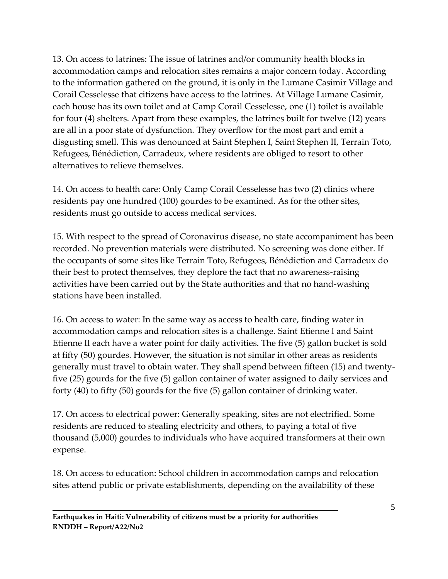13. On access to latrines: The issue of latrines and/or community health blocks in accommodation camps and relocation sites remains a major concern today. According to the information gathered on the ground, it is only in the Lumane Casimir Village and Corail Cesselesse that citizens have access to the latrines. At Village Lumane Casimir, each house has its own toilet and at Camp Corail Cesselesse, one (1) toilet is available for four (4) shelters. Apart from these examples, the latrines built for twelve (12) years are all in a poor state of dysfunction. They overflow for the most part and emit a disgusting smell. This was denounced at Saint Stephen I, Saint Stephen II, Terrain Toto, Refugees, Bénédiction, Carradeux, where residents are obliged to resort to other alternatives to relieve themselves.

14. On access to health care: Only Camp Corail Cesselesse has two (2) clinics where residents pay one hundred (100) gourdes to be examined. As for the other sites, residents must go outside to access medical services.

15. With respect to the spread of Coronavirus disease, no state accompaniment has been recorded. No prevention materials were distributed. No screening was done either. If the occupants of some sites like Terrain Toto, Refugees, Bénédiction and Carradeux do their best to protect themselves, they deplore the fact that no awareness-raising activities have been carried out by the State authorities and that no hand-washing stations have been installed.

16. On access to water: In the same way as access to health care, finding water in accommodation camps and relocation sites is a challenge. Saint Etienne I and Saint Etienne II each have a water point for daily activities. The five (5) gallon bucket is sold at fifty (50) gourdes. However, the situation is not similar in other areas as residents generally must travel to obtain water. They shall spend between fifteen (15) and twentyfive (25) gourds for the five (5) gallon container of water assigned to daily services and forty (40) to fifty (50) gourds for the five (5) gallon container of drinking water.

17. On access to electrical power: Generally speaking, sites are not electrified. Some residents are reduced to stealing electricity and others, to paying a total of five thousand (5,000) gourdes to individuals who have acquired transformers at their own expense.

18. On access to education: School children in accommodation camps and relocation sites attend public or private establishments, depending on the availability of these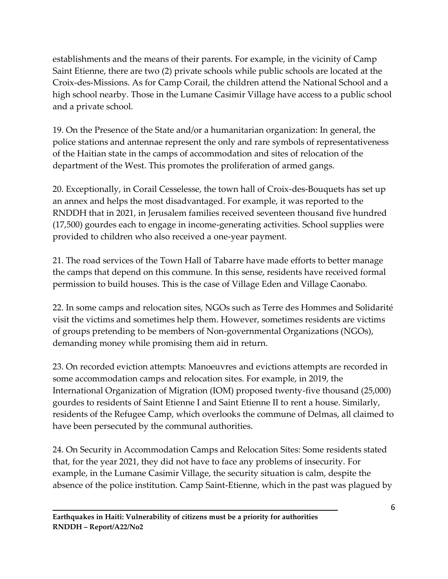establishments and the means of their parents. For example, in the vicinity of Camp Saint Etienne, there are two (2) private schools while public schools are located at the Croix-des-Missions. As for Camp Corail, the children attend the National School and a high school nearby. Those in the Lumane Casimir Village have access to a public school and a private school.

19. On the Presence of the State and/or a humanitarian organization: In general, the police stations and antennae represent the only and rare symbols of representativeness of the Haitian state in the camps of accommodation and sites of relocation of the department of the West. This promotes the proliferation of armed gangs.

20. Exceptionally, in Corail Cesselesse, the town hall of Croix-des-Bouquets has set up an annex and helps the most disadvantaged. For example, it was reported to the RNDDH that in 2021, in Jerusalem families received seventeen thousand five hundred (17,500) gourdes each to engage in income-generating activities. School supplies were provided to children who also received a one-year payment.

21. The road services of the Town Hall of Tabarre have made efforts to better manage the camps that depend on this commune. In this sense, residents have received formal permission to build houses. This is the case of Village Eden and Village Caonabo.

22. In some camps and relocation sites, NGOs such as Terre des Hommes and Solidarité visit the victims and sometimes help them. However, sometimes residents are victims of groups pretending to be members of Non-governmental Organizations (NGOs), demanding money while promising them aid in return.

23. On recorded eviction attempts: Manoeuvres and evictions attempts are recorded in some accommodation camps and relocation sites. For example, in 2019, the International Organization of Migration (IOM) proposed twenty-five thousand (25,000) gourdes to residents of Saint Etienne I and Saint Etienne II to rent a house. Similarly, residents of the Refugee Camp, which overlooks the commune of Delmas, all claimed to have been persecuted by the communal authorities.

24. On Security in Accommodation Camps and Relocation Sites: Some residents stated that, for the year 2021, they did not have to face any problems of insecurity. For example, in the Lumane Casimir Village, the security situation is calm, despite the absence of the police institution. Camp Saint-Etienne, which in the past was plagued by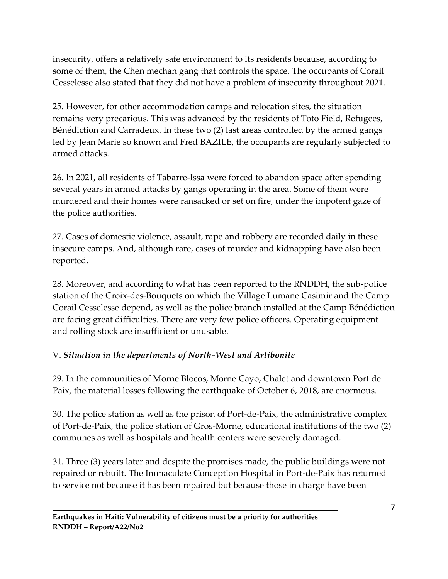insecurity, offers a relatively safe environment to its residents because, according to some of them, the Chen mechan gang that controls the space. The occupants of Corail Cesselesse also stated that they did not have a problem of insecurity throughout 2021.

25. However, for other accommodation camps and relocation sites, the situation remains very precarious. This was advanced by the residents of Toto Field, Refugees, Bénédiction and Carradeux. In these two (2) last areas controlled by the armed gangs led by Jean Marie so known and Fred BAZILE, the occupants are regularly subjected to armed attacks.

26. In 2021, all residents of Tabarre-Issa were forced to abandon space after spending several years in armed attacks by gangs operating in the area. Some of them were murdered and their homes were ransacked or set on fire, under the impotent gaze of the police authorities.

27. Cases of domestic violence, assault, rape and robbery are recorded daily in these insecure camps. And, although rare, cases of murder and kidnapping have also been reported.

28. Moreover, and according to what has been reported to the RNDDH, the sub-police station of the Croix-des-Bouquets on which the Village Lumane Casimir and the Camp Corail Cesselesse depend, as well as the police branch installed at the Camp Bénédiction are facing great difficulties. There are very few police officers. Operating equipment and rolling stock are insufficient or unusable.

#### V. *Situation in the departments of North-West and Artibonite*

29. In the communities of Morne Blocos, Morne Cayo, Chalet and downtown Port de Paix, the material losses following the earthquake of October 6, 2018, are enormous.

30. The police station as well as the prison of Port-de-Paix, the administrative complex of Port-de-Paix, the police station of Gros-Morne, educational institutions of the two (2) communes as well as hospitals and health centers were severely damaged.

31. Three (3) years later and despite the promises made, the public buildings were not repaired or rebuilt. The Immaculate Conception Hospital in Port-de-Paix has returned to service not because it has been repaired but because those in charge have been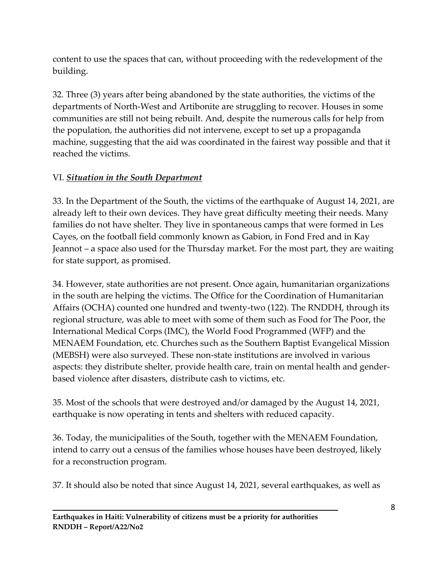content to use the spaces that can, without proceeding with the redevelopment of the building.

32. Three (3) years after being abandoned by the state authorities, the victims of the departments of North-West and Artibonite are struggling to recover. Houses in some communities are still not being rebuilt. And, despite the numerous calls for help from the population, the authorities did not intervene, except to set up a propaganda machine, suggesting that the aid was coordinated in the fairest way possible and that it reached the victims.

# VI. *Situation in the South Department*

33. In the Department of the South, the victims of the earthquake of August 14, 2021, are already left to their own devices. They have great difficulty meeting their needs. Many families do not have shelter. They live in spontaneous camps that were formed in Les Cayes, on the football field commonly known as Gabion, in Fond Fred and in Kay Jeannot – a space also used for the Thursday market. For the most part, they are waiting for state support, as promised.

34. However, state authorities are not present. Once again, humanitarian organizations in the south are helping the victims. The Office for the Coordination of Humanitarian Affairs (OCHA) counted one hundred and twenty-two (122). The RNDDH, through its regional structure, was able to meet with some of them such as Food for The Poor, the International Medical Corps (IMC), the World Food Programmed (WFP) and the MENAEM Foundation, etc. Churches such as the Southern Baptist Evangelical Mission (MEBSH) were also surveyed. These non-state institutions are involved in various aspects: they distribute shelter, provide health care, train on mental health and genderbased violence after disasters, distribute cash to victims, etc.

35. Most of the schools that were destroyed and/or damaged by the August 14, 2021, earthquake is now operating in tents and shelters with reduced capacity.

36. Today, the municipalities of the South, together with the MENAEM Foundation, intend to carry out a census of the families whose houses have been destroyed, likely for a reconstruction program.

37. It should also be noted that since August 14, 2021, several earthquakes, as well as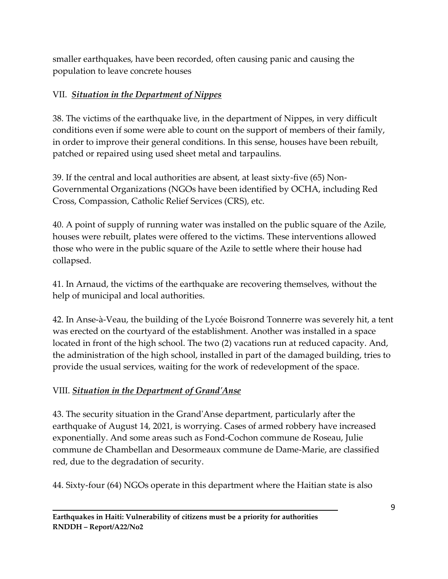smaller earthquakes, have been recorded, often causing panic and causing the population to leave concrete houses

#### VII. *Situation in the Department of Nippes*

38. The victims of the earthquake live, in the department of Nippes, in very difficult conditions even if some were able to count on the support of members of their family, in order to improve their general conditions. In this sense, houses have been rebuilt, patched or repaired using used sheet metal and tarpaulins.

39. If the central and local authorities are absent, at least sixty-five (65) Non-Governmental Organizations (NGOs have been identified by OCHA, including Red Cross, Compassion, Catholic Relief Services (CRS), etc.

40. A point of supply of running water was installed on the public square of the Azile, houses were rebuilt, plates were offered to the victims. These interventions allowed those who were in the public square of the Azile to settle where their house had collapsed.

41. In Arnaud, the victims of the earthquake are recovering themselves, without the help of municipal and local authorities.

42. In Anse-à-Veau, the building of the Lycée Boisrond Tonnerre was severely hit, a tent was erected on the courtyard of the establishment. Another was installed in a space located in front of the high school. The two (2) vacations run at reduced capacity. And, the administration of the high school, installed in part of the damaged building, tries to provide the usual services, waiting for the work of redevelopment of the space.

#### VIII. *Situation in the Department of Grand'Anse*

43. The security situation in the Grand'Anse department, particularly after the earthquake of August 14, 2021, is worrying. Cases of armed robbery have increased exponentially. And some areas such as Fond-Cochon commune de Roseau, Julie commune de Chambellan and Desormeaux commune de Dame-Marie, are classified red, due to the degradation of security.

44. Sixty-four (64) NGOs operate in this department where the Haitian state is also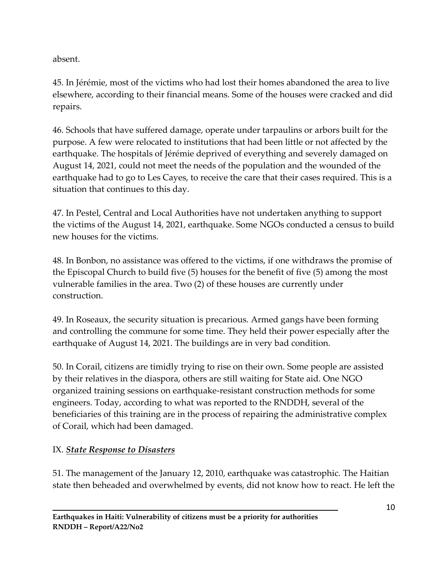absent.

45. In Jérémie, most of the victims who had lost their homes abandoned the area to live elsewhere, according to their financial means. Some of the houses were cracked and did repairs.

46. Schools that have suffered damage, operate under tarpaulins or arbors built for the purpose. A few were relocated to institutions that had been little or not affected by the earthquake. The hospitals of Jérémie deprived of everything and severely damaged on August 14, 2021, could not meet the needs of the population and the wounded of the earthquake had to go to Les Cayes, to receive the care that their cases required. This is a situation that continues to this day.

47. In Pestel, Central and Local Authorities have not undertaken anything to support the victims of the August 14, 2021, earthquake. Some NGOs conducted a census to build new houses for the victims.

48. In Bonbon, no assistance was offered to the victims, if one withdraws the promise of the Episcopal Church to build five (5) houses for the benefit of five (5) among the most vulnerable families in the area. Two (2) of these houses are currently under construction.

49. In Roseaux, the security situation is precarious. Armed gangs have been forming and controlling the commune for some time. They held their power especially after the earthquake of August 14, 2021. The buildings are in very bad condition.

50. In Corail, citizens are timidly trying to rise on their own. Some people are assisted by their relatives in the diaspora, others are still waiting for State aid. One NGO organized training sessions on earthquake-resistant construction methods for some engineers. Today, according to what was reported to the RNDDH, several of the beneficiaries of this training are in the process of repairing the administrative complex of Corail, which had been damaged.

# IX. *State Response to Disasters*

51. The management of the January 12, 2010, earthquake was catastrophic. The Haitian state then beheaded and overwhelmed by events, did not know how to react. He left the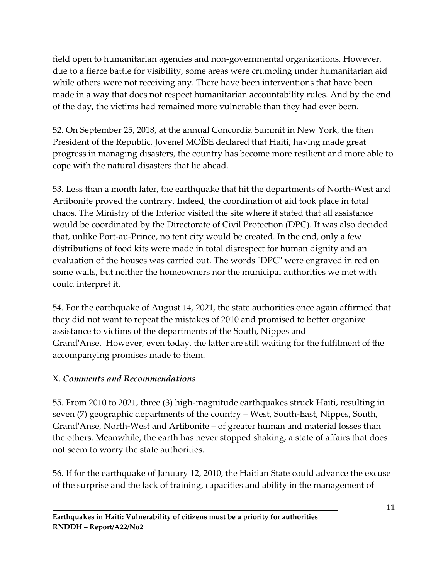field open to humanitarian agencies and non-governmental organizations. However, due to a fierce battle for visibility, some areas were crumbling under humanitarian aid while others were not receiving any. There have been interventions that have been made in a way that does not respect humanitarian accountability rules. And by the end of the day, the victims had remained more vulnerable than they had ever been.

52. On September 25, 2018, at the annual Concordia Summit in New York, the then President of the Republic, Jovenel MOÏSE declared that Haiti, having made great progress in managing disasters, the country has become more resilient and more able to cope with the natural disasters that lie ahead.

53. Less than a month later, the earthquake that hit the departments of North-West and Artibonite proved the contrary. Indeed, the coordination of aid took place in total chaos. The Ministry of the Interior visited the site where it stated that all assistance would be coordinated by the Directorate of Civil Protection (DPC). It was also decided that, unlike Port-au-Prince, no tent city would be created. In the end, only a few distributions of food kits were made in total disrespect for human dignity and an evaluation of the houses was carried out. The words "DPC" were engraved in red on some walls, but neither the homeowners nor the municipal authorities we met with could interpret it.

54. For the earthquake of August 14, 2021, the state authorities once again affirmed that they did not want to repeat the mistakes of 2010 and promised to better organize assistance to victims of the departments of the South, Nippes and Grand'Anse. However, even today, the latter are still waiting for the fulfilment of the accompanying promises made to them.

# X. *Comments and Recommendations*

55. From 2010 to 2021, three (3) high-magnitude earthquakes struck Haiti, resulting in seven (7) geographic departments of the country – West, South-East, Nippes, South, Grand'Anse, North-West and Artibonite – of greater human and material losses than the others. Meanwhile, the earth has never stopped shaking, a state of affairs that does not seem to worry the state authorities.

56. If for the earthquake of January 12, 2010, the Haitian State could advance the excuse of the surprise and the lack of training, capacities and ability in the management of